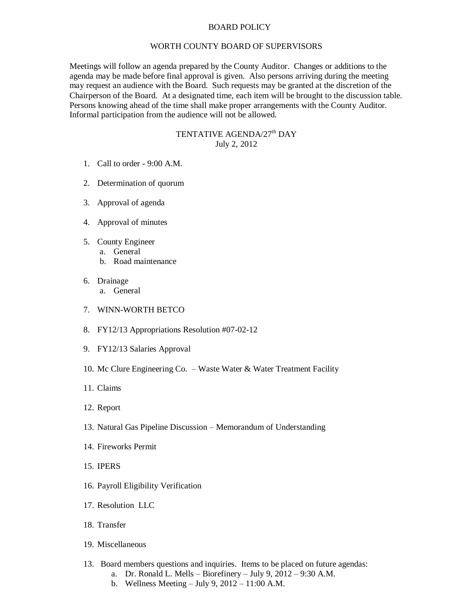## BOARD POLICY

## WORTH COUNTY BOARD OF SUPERVISORS

Meetings will follow an agenda prepared by the County Auditor. Changes or additions to the agenda may be made before final approval is given. Also persons arriving during the meeting may request an audience with the Board. Such requests may be granted at the discretion of the Chairperson of the Board. At a designated time, each item will be brought to the discussion table. Persons knowing ahead of the time shall make proper arrangements with the County Auditor. Informal participation from the audience will not be allowed.

## TENTATIVE AGENDA/27<sup>th</sup> DAY July 2, 2012

- 1. Call to order 9:00 A.M.
- 2. Determination of quorum
- 3. Approval of agenda
- 4. Approval of minutes
- 5. County Engineer
	- a. General
		- b. Road maintenance
- 6. Drainage
	- a. General
- 7. WINN-WORTH BETCO
- 8. FY12/13 Appropriations Resolution #07-02-12
- 9. FY12/13 Salaries Approval
- 10. Mc Clure Engineering Co. Waste Water & Water Treatment Facility
- 11. Claims
- 12. Report
- 13. Natural Gas Pipeline Discussion Memorandum of Understanding
- 14. Fireworks Permit
- 15. IPERS
- 16. Payroll Eligibility Verification
- 17. Resolution LLC
- 18. Transfer
- 19. Miscellaneous
- 13. Board members questions and inquiries. Items to be placed on future agendas:
	- a. Dr. Ronald L. Mells Biorefinery July 9, 2012 9:30 A.M.
	- b. Wellness Meeting July 9, 2012 11:00 A.M.